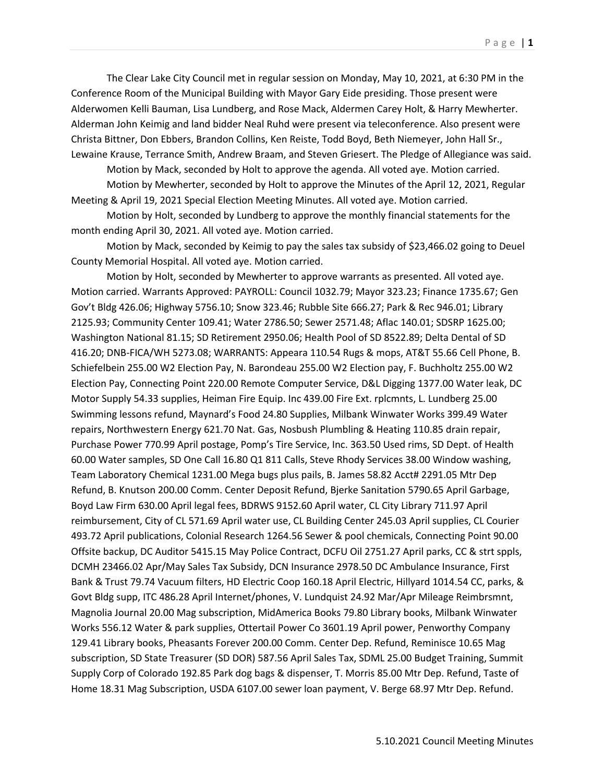The Clear Lake City Council met in regular session on Monday, May 10, 2021, at 6:30 PM in the Conference Room of the Municipal Building with Mayor Gary Eide presiding. Those present were Alderwomen Kelli Bauman, Lisa Lundberg, and Rose Mack, Aldermen Carey Holt, & Harry Mewherter. Alderman John Keimig and land bidder Neal Ruhd were present via teleconference. Also present were Christa Bittner, Don Ebbers, Brandon Collins, Ken Reiste, Todd Boyd, Beth Niemeyer, John Hall Sr., Lewaine Krause, Terrance Smith, Andrew Braam, and Steven Griesert. The Pledge of Allegiance was said.

Motion by Mack, seconded by Holt to approve the agenda. All voted aye. Motion carried. Motion by Mewherter, seconded by Holt to approve the Minutes of the April 12, 2021, Regular Meeting & April 19, 2021 Special Election Meeting Minutes. All voted aye. Motion carried.

Motion by Holt, seconded by Lundberg to approve the monthly financial statements for the month ending April 30, 2021. All voted aye. Motion carried.

Motion by Mack, seconded by Keimig to pay the sales tax subsidy of \$23,466.02 going to Deuel County Memorial Hospital. All voted aye. Motion carried.

Motion by Holt, seconded by Mewherter to approve warrants as presented. All voted aye. Motion carried. Warrants Approved: PAYROLL: Council 1032.79; Mayor 323.23; Finance 1735.67; Gen Gov't Bldg 426.06; Highway 5756.10; Snow 323.46; Rubble Site 666.27; Park & Rec 946.01; Library 2125.93; Community Center 109.41; Water 2786.50; Sewer 2571.48; Aflac 140.01; SDSRP 1625.00; Washington National 81.15; SD Retirement 2950.06; Health Pool of SD 8522.89; Delta Dental of SD 416.20; DNB-FICA/WH 5273.08; WARRANTS: Appeara 110.54 Rugs & mops, AT&T 55.66 Cell Phone, B. Schiefelbein 255.00 W2 Election Pay, N. Barondeau 255.00 W2 Election pay, F. Buchholtz 255.00 W2 Election Pay, Connecting Point 220.00 Remote Computer Service, D&L Digging 1377.00 Water leak, DC Motor Supply 54.33 supplies, Heiman Fire Equip. Inc 439.00 Fire Ext. rplcmnts, L. Lundberg 25.00 Swimming lessons refund, Maynard's Food 24.80 Supplies, Milbank Winwater Works 399.49 Water repairs, Northwestern Energy 621.70 Nat. Gas, Nosbush Plumbling & Heating 110.85 drain repair, Purchase Power 770.99 April postage, Pomp's Tire Service, Inc. 363.50 Used rims, SD Dept. of Health 60.00 Water samples, SD One Call 16.80 Q1 811 Calls, Steve Rhody Services 38.00 Window washing, Team Laboratory Chemical 1231.00 Mega bugs plus pails, B. James 58.82 Acct# 2291.05 Mtr Dep Refund, B. Knutson 200.00 Comm. Center Deposit Refund, Bjerke Sanitation 5790.65 April Garbage, Boyd Law Firm 630.00 April legal fees, BDRWS 9152.60 April water, CL City Library 711.97 April reimbursement, City of CL 571.69 April water use, CL Building Center 245.03 April supplies, CL Courier 493.72 April publications, Colonial Research 1264.56 Sewer & pool chemicals, Connecting Point 90.00 Offsite backup, DC Auditor 5415.15 May Police Contract, DCFU Oil 2751.27 April parks, CC & strt sppls, DCMH 23466.02 Apr/May Sales Tax Subsidy, DCN Insurance 2978.50 DC Ambulance Insurance, First Bank & Trust 79.74 Vacuum filters, HD Electric Coop 160.18 April Electric, Hillyard 1014.54 CC, parks, & Govt Bldg supp, ITC 486.28 April Internet/phones, V. Lundquist 24.92 Mar/Apr Mileage Reimbrsmnt, Magnolia Journal 20.00 Mag subscription, MidAmerica Books 79.80 Library books, Milbank Winwater Works 556.12 Water & park supplies, Ottertail Power Co 3601.19 April power, Penworthy Company 129.41 Library books, Pheasants Forever 200.00 Comm. Center Dep. Refund, Reminisce 10.65 Mag subscription, SD State Treasurer (SD DOR) 587.56 April Sales Tax, SDML 25.00 Budget Training, Summit Supply Corp of Colorado 192.85 Park dog bags & dispenser, T. Morris 85.00 Mtr Dep. Refund, Taste of Home 18.31 Mag Subscription, USDA 6107.00 sewer loan payment, V. Berge 68.97 Mtr Dep. Refund.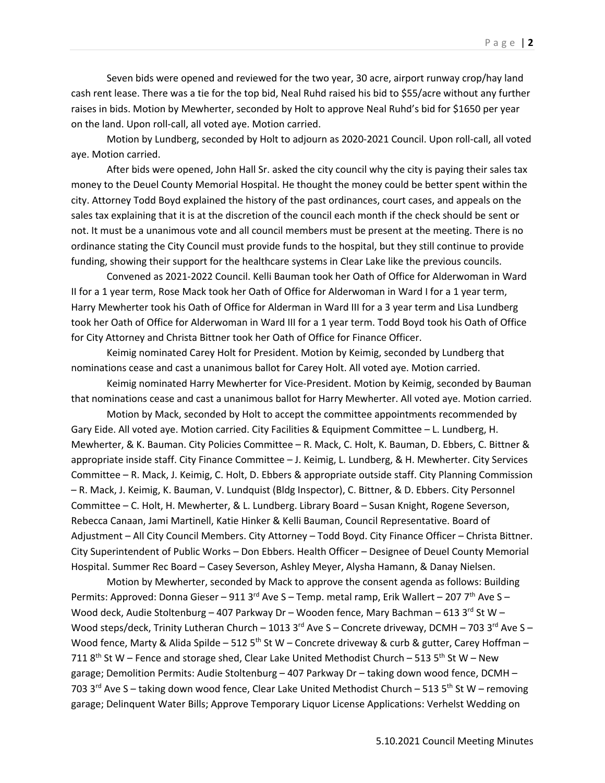Seven bids were opened and reviewed for the two year, 30 acre, airport runway crop/hay land cash rent lease. There was a tie for the top bid, Neal Ruhd raised his bid to \$55/acre without any further raises in bids. Motion by Mewherter, seconded by Holt to approve Neal Ruhd's bid for \$1650 per year on the land. Upon roll-call, all voted aye. Motion carried.

Motion by Lundberg, seconded by Holt to adjourn as 2020-2021 Council. Upon roll-call, all voted aye. Motion carried.

After bids were opened, John Hall Sr. asked the city council why the city is paying their sales tax money to the Deuel County Memorial Hospital. He thought the money could be better spent within the city. Attorney Todd Boyd explained the history of the past ordinances, court cases, and appeals on the sales tax explaining that it is at the discretion of the council each month if the check should be sent or not. It must be a unanimous vote and all council members must be present at the meeting. There is no ordinance stating the City Council must provide funds to the hospital, but they still continue to provide funding, showing their support for the healthcare systems in Clear Lake like the previous councils.

Convened as 2021-2022 Council. Kelli Bauman took her Oath of Office for Alderwoman in Ward II for a 1 year term, Rose Mack took her Oath of Office for Alderwoman in Ward I for a 1 year term, Harry Mewherter took his Oath of Office for Alderman in Ward III for a 3 year term and Lisa Lundberg took her Oath of Office for Alderwoman in Ward III for a 1 year term. Todd Boyd took his Oath of Office for City Attorney and Christa Bittner took her Oath of Office for Finance Officer.

Keimig nominated Carey Holt for President. Motion by Keimig, seconded by Lundberg that nominations cease and cast a unanimous ballot for Carey Holt. All voted aye. Motion carried.

Keimig nominated Harry Mewherter for Vice-President. Motion by Keimig, seconded by Bauman that nominations cease and cast a unanimous ballot for Harry Mewherter. All voted aye. Motion carried.

Motion by Mack, seconded by Holt to accept the committee appointments recommended by Gary Eide. All voted aye. Motion carried. City Facilities & Equipment Committee – L. Lundberg, H. Mewherter, & K. Bauman. City Policies Committee – R. Mack, C. Holt, K. Bauman, D. Ebbers, C. Bittner & appropriate inside staff. City Finance Committee – J. Keimig, L. Lundberg, & H. Mewherter. City Services Committee – R. Mack, J. Keimig, C. Holt, D. Ebbers & appropriate outside staff. City Planning Commission – R. Mack, J. Keimig, K. Bauman, V. Lundquist (Bldg Inspector), C. Bittner, & D. Ebbers. City Personnel Committee – C. Holt, H. Mewherter, & L. Lundberg. Library Board – Susan Knight, Rogene Severson, Rebecca Canaan, Jami Martinell, Katie Hinker & Kelli Bauman, Council Representative. Board of Adjustment – All City Council Members. City Attorney – Todd Boyd. City Finance Officer – Christa Bittner. City Superintendent of Public Works – Don Ebbers. Health Officer – Designee of Deuel County Memorial Hospital. Summer Rec Board – Casey Severson, Ashley Meyer, Alysha Hamann, & Danay Nielsen.

Motion by Mewherter, seconded by Mack to approve the consent agenda as follows: Building Permits: Approved: Donna Gieser – 911 3<sup>rd</sup> Ave S – Temp. metal ramp, Erik Wallert – 207 7<sup>th</sup> Ave S – Wood deck, Audie Stoltenburg – 407 Parkway Dr – Wooden fence, Mary Bachman – 613 3rd St W – Wood steps/deck, Trinity Lutheran Church - 1013 3rd Ave S - Concrete driveway, DCMH - 703 3rd Ave S -Wood fence, Marty & Alida Spilde – 512 5<sup>th</sup> St W – Concrete driveway & curb & gutter, Carey Hoffman – 711  $8<sup>th</sup>$  St W – Fence and storage shed, Clear Lake United Methodist Church – 513 5<sup>th</sup> St W – New garage; Demolition Permits: Audie Stoltenburg – 407 Parkway Dr – taking down wood fence, DCMH – 703 3<sup>rd</sup> Ave S – taking down wood fence, Clear Lake United Methodist Church – 513 5<sup>th</sup> St W – removing garage; Delinquent Water Bills; Approve Temporary Liquor License Applications: Verhelst Wedding on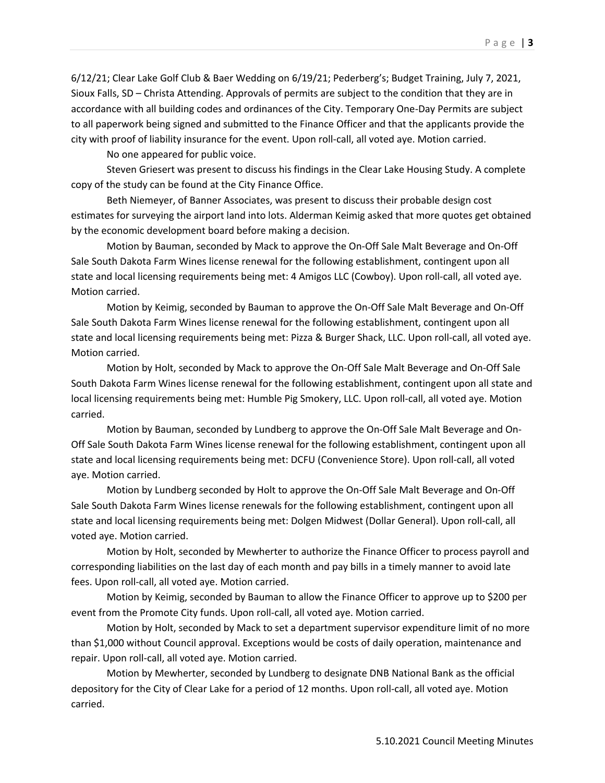6/12/21; Clear Lake Golf Club & Baer Wedding on 6/19/21; Pederberg's; Budget Training, July 7, 2021, Sioux Falls, SD – Christa Attending. Approvals of permits are subject to the condition that they are in accordance with all building codes and ordinances of the City. Temporary One-Day Permits are subject to all paperwork being signed and submitted to the Finance Officer and that the applicants provide the city with proof of liability insurance for the event. Upon roll-call, all voted aye. Motion carried.

No one appeared for public voice.

Steven Griesert was present to discuss his findings in the Clear Lake Housing Study. A complete copy of the study can be found at the City Finance Office.

Beth Niemeyer, of Banner Associates, was present to discuss their probable design cost estimates for surveying the airport land into lots. Alderman Keimig asked that more quotes get obtained by the economic development board before making a decision.

Motion by Bauman, seconded by Mack to approve the On-Off Sale Malt Beverage and On-Off Sale South Dakota Farm Wines license renewal for the following establishment, contingent upon all state and local licensing requirements being met: 4 Amigos LLC (Cowboy). Upon roll-call, all voted aye. Motion carried.

Motion by Keimig, seconded by Bauman to approve the On-Off Sale Malt Beverage and On-Off Sale South Dakota Farm Wines license renewal for the following establishment, contingent upon all state and local licensing requirements being met: Pizza & Burger Shack, LLC. Upon roll-call, all voted aye. Motion carried.

Motion by Holt, seconded by Mack to approve the On-Off Sale Malt Beverage and On-Off Sale South Dakota Farm Wines license renewal for the following establishment, contingent upon all state and local licensing requirements being met: Humble Pig Smokery, LLC. Upon roll-call, all voted aye. Motion carried.

Motion by Bauman, seconded by Lundberg to approve the On-Off Sale Malt Beverage and On-Off Sale South Dakota Farm Wines license renewal for the following establishment, contingent upon all state and local licensing requirements being met: DCFU (Convenience Store). Upon roll-call, all voted aye. Motion carried.

Motion by Lundberg seconded by Holt to approve the On-Off Sale Malt Beverage and On-Off Sale South Dakota Farm Wines license renewals for the following establishment, contingent upon all state and local licensing requirements being met: Dolgen Midwest (Dollar General). Upon roll-call, all voted aye. Motion carried.

Motion by Holt, seconded by Mewherter to authorize the Finance Officer to process payroll and corresponding liabilities on the last day of each month and pay bills in a timely manner to avoid late fees. Upon roll-call, all voted aye. Motion carried.

Motion by Keimig, seconded by Bauman to allow the Finance Officer to approve up to \$200 per event from the Promote City funds. Upon roll-call, all voted aye. Motion carried.

Motion by Holt, seconded by Mack to set a department supervisor expenditure limit of no more than \$1,000 without Council approval. Exceptions would be costs of daily operation, maintenance and repair. Upon roll-call, all voted aye. Motion carried.

Motion by Mewherter, seconded by Lundberg to designate DNB National Bank as the official depository for the City of Clear Lake for a period of 12 months. Upon roll-call, all voted aye. Motion carried.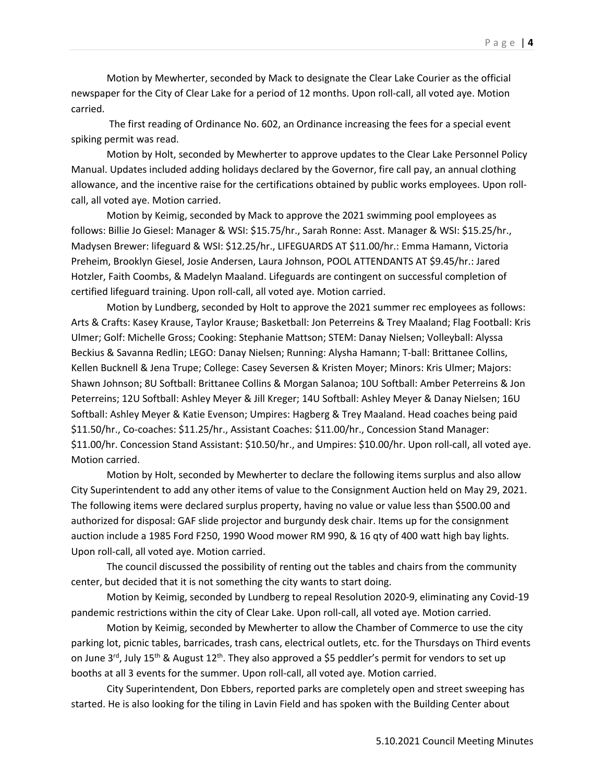The first reading of Ordinance No. 602, an Ordinance increasing the fees for a special event spiking permit was read.

carried.

Motion by Holt, seconded by Mewherter to approve updates to the Clear Lake Personnel Policy Manual. Updates included adding holidays declared by the Governor, fire call pay, an annual clothing allowance, and the incentive raise for the certifications obtained by public works employees. Upon rollcall, all voted aye. Motion carried.

Motion by Keimig, seconded by Mack to approve the 2021 swimming pool employees as follows: Billie Jo Giesel: Manager & WSI: \$15.75/hr., Sarah Ronne: Asst. Manager & WSI: \$15.25/hr., Madysen Brewer: lifeguard & WSI: \$12.25/hr., LIFEGUARDS AT \$11.00/hr.: Emma Hamann, Victoria Preheim, Brooklyn Giesel, Josie Andersen, Laura Johnson, POOL ATTENDANTS AT \$9.45/hr.: Jared Hotzler, Faith Coombs, & Madelyn Maaland. Lifeguards are contingent on successful completion of certified lifeguard training. Upon roll-call, all voted aye. Motion carried.

Motion by Lundberg, seconded by Holt to approve the 2021 summer rec employees as follows: Arts & Crafts: Kasey Krause, Taylor Krause; Basketball: Jon Peterreins & Trey Maaland; Flag Football: Kris Ulmer; Golf: Michelle Gross; Cooking: Stephanie Mattson; STEM: Danay Nielsen; Volleyball: Alyssa Beckius & Savanna Redlin; LEGO: Danay Nielsen; Running: Alysha Hamann; T-ball: Brittanee Collins, Kellen Bucknell & Jena Trupe; College: Casey Seversen & Kristen Moyer; Minors: Kris Ulmer; Majors: Shawn Johnson; 8U Softball: Brittanee Collins & Morgan Salanoa; 10U Softball: Amber Peterreins & Jon Peterreins; 12U Softball: Ashley Meyer & Jill Kreger; 14U Softball: Ashley Meyer & Danay Nielsen; 16U Softball: Ashley Meyer & Katie Evenson; Umpires: Hagberg & Trey Maaland. Head coaches being paid \$11.50/hr., Co-coaches: \$11.25/hr., Assistant Coaches: \$11.00/hr., Concession Stand Manager: \$11.00/hr. Concession Stand Assistant: \$10.50/hr., and Umpires: \$10.00/hr. Upon roll-call, all voted aye. Motion carried.

Motion by Holt, seconded by Mewherter to declare the following items surplus and also allow City Superintendent to add any other items of value to the Consignment Auction held on May 29, 2021. The following items were declared surplus property, having no value or value less than \$500.00 and authorized for disposal: GAF slide projector and burgundy desk chair. Items up for the consignment auction include a 1985 Ford F250, 1990 Wood mower RM 990, & 16 qty of 400 watt high bay lights. Upon roll-call, all voted aye. Motion carried.

The council discussed the possibility of renting out the tables and chairs from the community center, but decided that it is not something the city wants to start doing.

Motion by Keimig, seconded by Lundberg to repeal Resolution 2020-9, eliminating any Covid-19 pandemic restrictions within the city of Clear Lake. Upon roll-call, all voted aye. Motion carried.

Motion by Keimig, seconded by Mewherter to allow the Chamber of Commerce to use the city parking lot, picnic tables, barricades, trash cans, electrical outlets, etc. for the Thursdays on Third events on June 3<sup>rd</sup>, July 15<sup>th</sup> & August 12<sup>th</sup>. They also approved a \$5 peddler's permit for vendors to set up booths at all 3 events for the summer. Upon roll-call, all voted aye. Motion carried.

City Superintendent, Don Ebbers, reported parks are completely open and street sweeping has started. He is also looking for the tiling in Lavin Field and has spoken with the Building Center about

Page | **4**